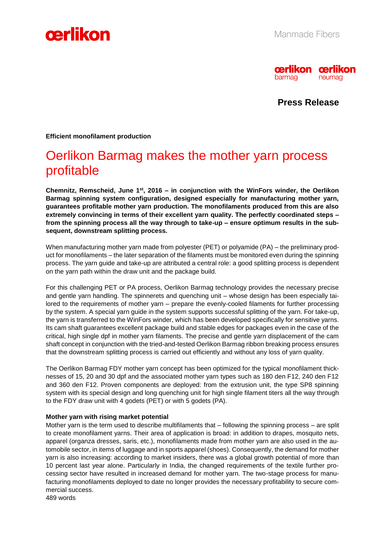



**Press Release**

**Efficient monofilament production**

## Oerlikon Barmag makes the mother yarn process profitable

**Chemnitz, Remscheid, June 1 st, 2016 – in conjunction with the WinFors winder, the Oerlikon Barmag spinning system configuration, designed especially for manufacturing mother yarn, guarantees profitable mother yarn production. The monofilaments produced from this are also extremely convincing in terms of their excellent yarn quality. The perfectly coordinated steps – from the spinning process all the way through to take-up – ensure optimum results in the subsequent, downstream splitting process.**

When manufacturing mother yarn made from polyester (PET) or polyamide (PA) – the preliminary product for monofilaments – the later separation of the filaments must be monitored even during the spinning process. The yarn guide and take-up are attributed a central role: a good splitting process is dependent on the yarn path within the draw unit and the package build.

For this challenging PET or PA process, Oerlikon Barmag technology provides the necessary precise and gentle yarn handling. The spinnerets and quenching unit – whose design has been especially tailored to the requirements of mother yarn – prepare the evenly-cooled filaments for further processing by the system. A special yarn guide in the system supports successful splitting of the yarn. For take-up, the yarn is transferred to the WinFors winder, which has been developed specifically for sensitive yarns. Its cam shaft guarantees excellent package build and stable edges for packages even in the case of the critical, high single dpf in mother yarn filaments. The precise and gentle yarn displacement of the cam shaft concept in conjunction with the tried-and-tested Oerlikon Barmag ribbon breaking process ensures that the downstream splitting process is carried out efficiently and without any loss of yarn quality.

The Oerlikon Barmag FDY mother yarn concept has been optimized for the typical monofilament thicknesses of 15, 20 and 30 dpf and the associated mother yarn types such as 180 den F12, 240 den F12 and 360 den F12. Proven components are deployed: from the extrusion unit, the type SP8 spinning system with its special design and long quenching unit for high single filament titers all the way through to the FDY draw unit with 4 godets (PET) or with 5 godets (PA).

#### **Mother yarn with rising market potential**

Mother yarn is the term used to describe multifilaments that – following the spinning process – are split to create monofilament yarns. Their area of application is broad: in addition to drapes, mosquito nets, apparel (organza dresses, saris, etc.), monofilaments made from mother yarn are also used in the automobile sector, in items of luggage and in sports apparel (shoes). Consequently, the demand for mother yarn is also increasing: according to market insiders, there was a global growth potential of more than 10 percent last year alone. Particularly in India, the changed requirements of the textile further processing sector have resulted in increased demand for mother yarn. The two-stage process for manufacturing monofilaments deployed to date no longer provides the necessary profitability to secure commercial success. 489 words